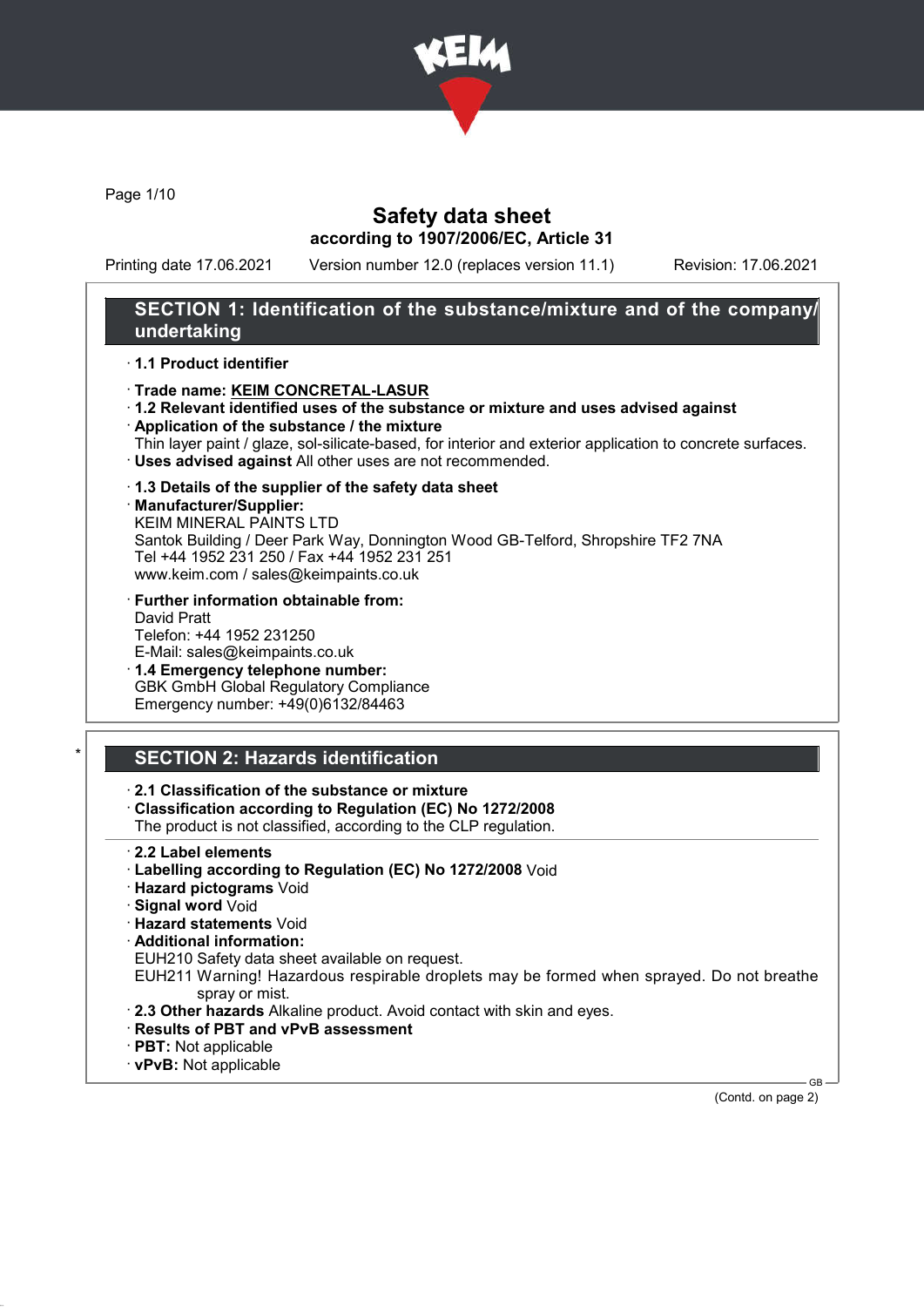

Page 1/10

### Safety data sheet according to 1907/2006/EC, Article 31

Printing date 17.06.2021 Version number 12.0 (replaces version 11.1) Revision: 17.06.2021

### SECTION 1: Identification of the substance/mixture and of the company/ undertaking

#### · 1.1 Product identifier

- · Trade name: KEIM CONCRETAL-LASUR
- · 1.2 Relevant identified uses of the substance or mixture and uses advised against
- · Application of the substance / the mixture
- Thin layer paint / glaze, sol-silicate-based, for interior and exterior application to concrete surfaces. · Uses advised against All other uses are not recommended.

#### · 1.3 Details of the supplier of the safety data sheet

#### · Manufacturer/Supplier:

KEIM MINERAL PAINTS LTD Santok Building / Deer Park Way, Donnington Wood GB-Telford, Shropshire TF2 7NA Tel +44 1952 231 250 / Fax +44 1952 231 251 www.keim.com / sales@keimpaints.co.uk

- · Further information obtainable from: David Pratt Telefon: +44 1952 231250 E-Mail: sales@keimpaints.co.uk
- · 1.4 Emergency telephone number: GBK GmbH Global Regulatory Compliance Emergency number: +49(0)6132/84463

# **SECTION 2: Hazards identification**

### · 2.1 Classification of the substance or mixture

· Classification according to Regulation (EC) No 1272/2008

The product is not classified, according to the CLP regulation.

- · 2.2 Label elements
- · Labelling according to Regulation (EC) No 1272/2008 Void
- · Hazard pictograms Void
- · Signal word Void
- · Hazard statements Void
- · Additional information:
- EUH210 Safety data sheet available on request.

EUH211 Warning! Hazardous respirable droplets may be formed when sprayed. Do not breathe spray or mist.

- · 2.3 Other hazards Alkaline product. Avoid contact with skin and eyes.
- · Results of PBT and vPvB assessment
- · PBT: Not applicable
- · vPvB: Not applicable

GB (Contd. on page 2)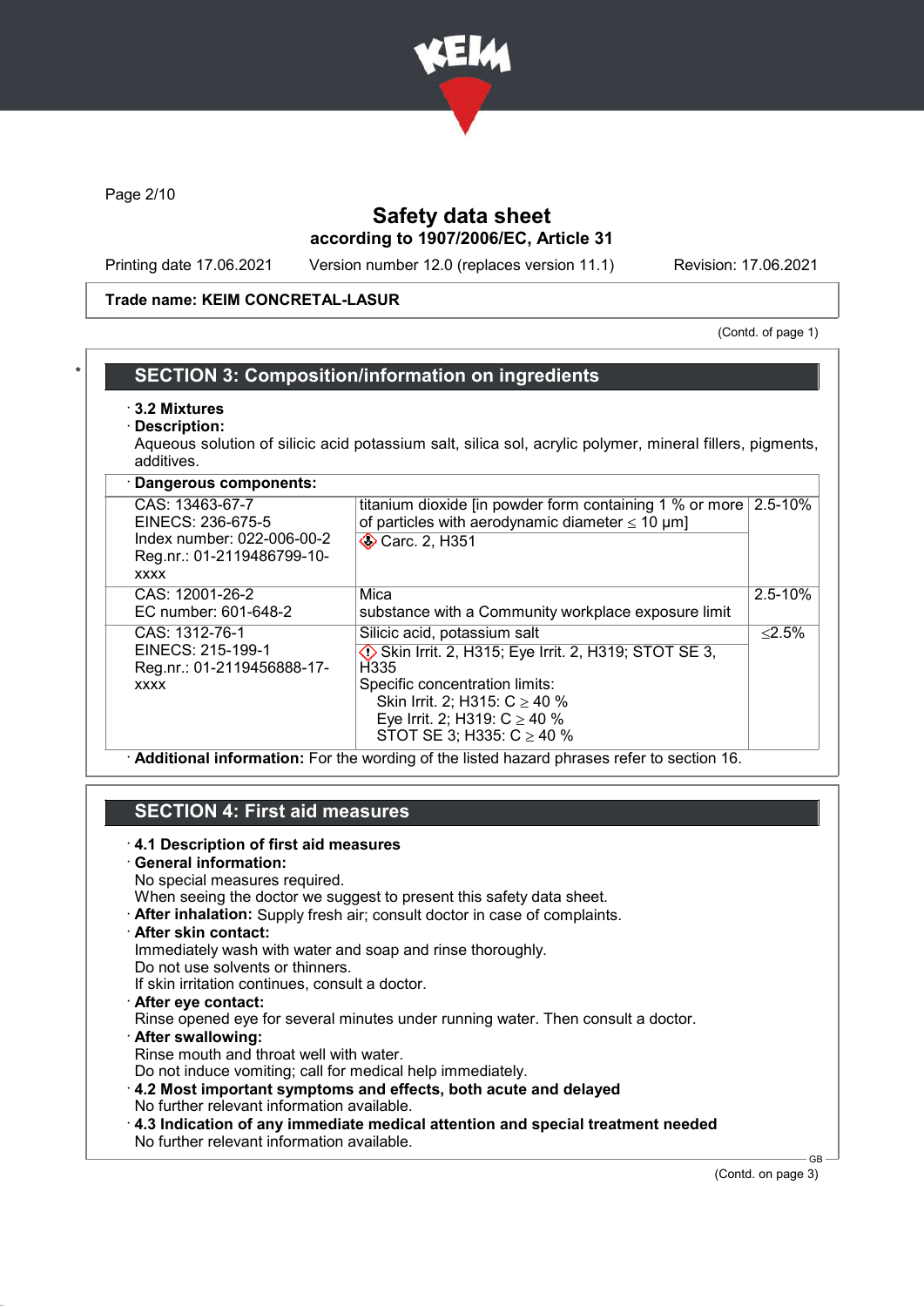

Page 2/10

# Safety data sheet according to 1907/2006/EC, Article 31

Printing date 17.06.2021 Version number 12.0 (replaces version 11.1) Revision: 17.06.2021

### Trade name: KEIM CONCRETAL-LASUR

(Contd. of page 1)

### **SECTION 3: Composition/information on ingredients**

- · 3.2 Mixtures
- Description:

Aqueous solution of silicic acid potassium salt, silica sol, acrylic polymer, mineral fillers, pigments, additives.

| Dangerous components:                                                                                           |                                                                                                                                                                                                                                                                    |             |
|-----------------------------------------------------------------------------------------------------------------|--------------------------------------------------------------------------------------------------------------------------------------------------------------------------------------------------------------------------------------------------------------------|-------------|
| CAS: 13463-67-7<br>EINECS: 236-675-5<br>Index number: 022-006-00-2<br>Reg.nr.: 01-2119486799-10-<br><b>XXXX</b> | titanium dioxide [in powder form containing 1 % or more $\vert$ 2.5-10%<br>of particles with aerodynamic diameter $\leq 10 \mu m$ ]<br>Carc. 2, H351                                                                                                               |             |
| CAS: 12001-26-2<br>EC number: 601-648-2                                                                         | Mica<br>substance with a Community workplace exposure limit                                                                                                                                                                                                        | $2.5 - 10%$ |
| CAS: 1312-76-1<br>EINECS: 215-199-1<br>Reg.nr.: 01-2119456888-17-<br><b>XXXX</b>                                | Silicic acid, potassium salt<br>$\diamondsuit$ Skin Irrit. 2, H315; Eye Irrit. 2, H319; STOT SE 3,<br>H <sub>335</sub><br>Specific concentration limits:<br>Skin Irrit. 2; H315: $C \ge 40$ %<br>Eye Irrit. 2; H319: $C \ge 40$ %<br>STOT SE 3; H335: $C \ge 40$ % | < 2.5%      |

· Additional information: For the wording of the listed hazard phrases refer to section 16.

# SECTION 4: First aid measures

· 4.1 Description of first aid measures · General information: No special measures required. When seeing the doctor we suggest to present this safety data sheet. · After inhalation: Supply fresh air; consult doctor in case of complaints. · After skin contact: Immediately wash with water and soap and rinse thoroughly. Do not use solvents or thinners. If skin irritation continues, consult a doctor. · After eye contact: Rinse opened eye for several minutes under running water. Then consult a doctor. · After swallowing: Rinse mouth and throat well with water. Do not induce vomiting; call for medical help immediately. · 4.2 Most important symptoms and effects, both acute and delayed No further relevant information available. · 4.3 Indication of any immediate medical attention and special treatment needed No further relevant information available.

(Contd. on page 3)

GB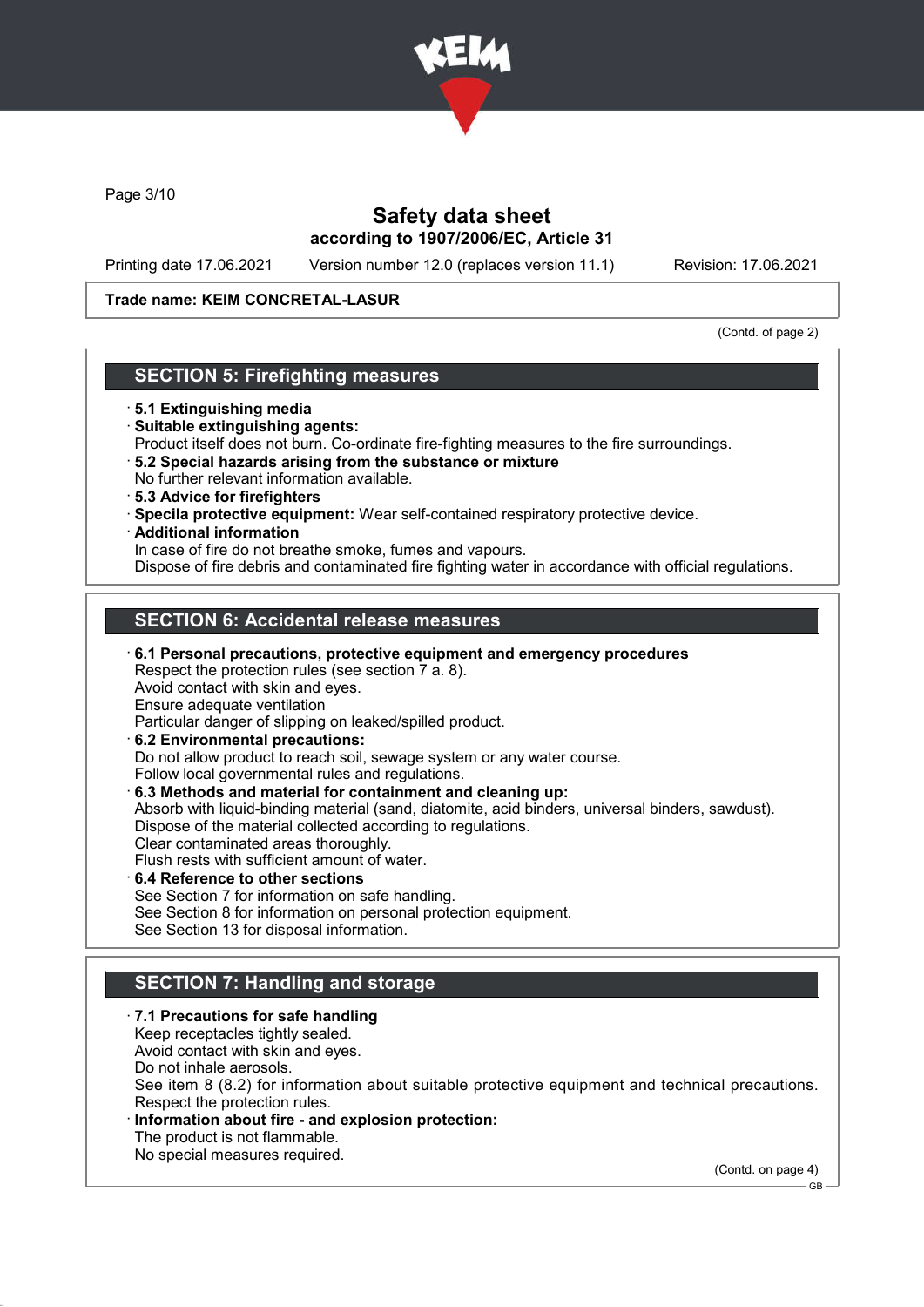

Page 3/10

# Safety data sheet according to 1907/2006/EC, Article 31

Printing date 17.06.2021 Version number 12.0 (replaces version 11.1) Revision: 17.06.2021

### Trade name: KEIM CONCRETAL-LASUR

(Contd. of page 2)

### SECTION 5: Firefighting measures

- · 5.1 Extinguishing media
- · Suitable extinguishing agents:
- Product itself does not burn. Co-ordinate fire-fighting measures to the fire surroundings.
- · 5.2 Special hazards arising from the substance or mixture No further relevant information available.
- · 5.3 Advice for firefighters
- · Specila protective equipment: Wear self-contained respiratory protective device.
- · Additional information

In case of fire do not breathe smoke, fumes and vapours.

Dispose of fire debris and contaminated fire fighting water in accordance with official regulations.

### SECTION 6: Accidental release measures

· 6.1 Personal precautions, protective equipment and emergency procedures Respect the protection rules (see section 7 a. 8). Avoid contact with skin and eyes. Ensure adequate ventilation Particular danger of slipping on leaked/spilled product. · 6.2 Environmental precautions: Do not allow product to reach soil, sewage system or any water course.

Follow local governmental rules and regulations. · 6.3 Methods and material for containment and cleaning up: Absorb with liquid-binding material (sand, diatomite, acid binders, universal binders, sawdust).

Dispose of the material collected according to regulations. Clear contaminated areas thoroughly. Flush rests with sufficient amount of water.

- · 6.4 Reference to other sections See Section 7 for information on safe handling. See Section 8 for information on personal protection equipment.
- See Section 13 for disposal information.

# SECTION 7: Handling and storage

- · 7.1 Precautions for safe handling Keep receptacles tightly sealed. Avoid contact with skin and eyes. Do not inhale aerosols. See item 8 (8.2) for information about suitable protective equipment and technical precautions. Respect the protection rules. Information about fire - and explosion protection:
	- The product is not flammable.
	- No special measures required.

(Contd. on page 4)

GB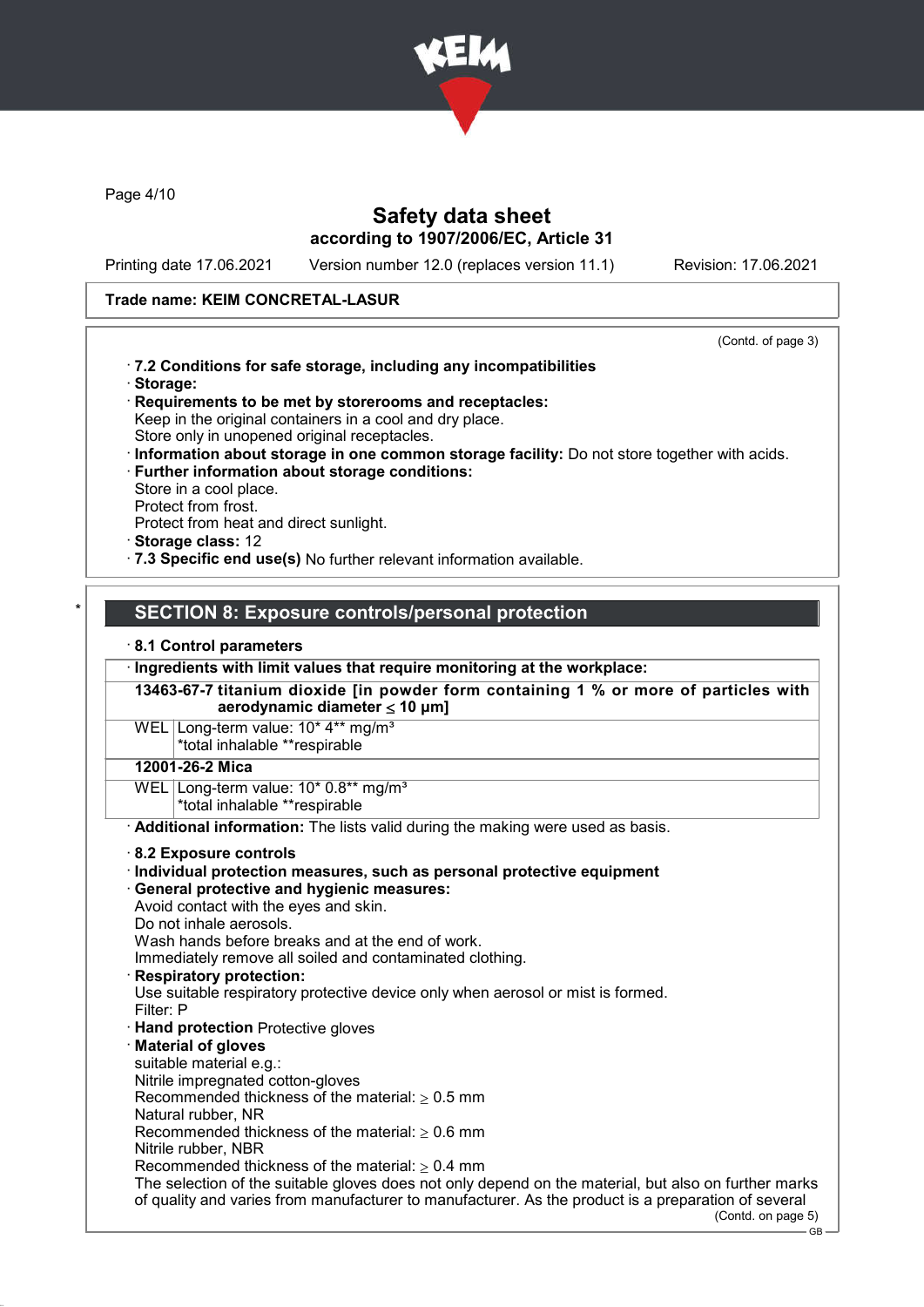

Page 4/10

### Safety data sheet according to 1907/2006/EC, Article 31

Printing date 17.06.2021 Version number 12.0 (replaces version 11.1) Revision: 17.06.2021

### Trade name: KEIM CONCRETAL-LASUR

(Contd. of page 3)

- · 7.2 Conditions for safe storage, including any incompatibilities · Storage:
- · Requirements to be met by storerooms and receptacles: Keep in the original containers in a cool and dry place. Store only in unopened original receptacles.
- · Information about storage in one common storage facility: Do not store together with acids.
- · Further information about storage conditions: Store in a cool place.
- Protect from frost.
- Protect from heat and direct sunlight.
- · Storage class: 12
- · 7.3 Specific end use(s) No further relevant information available.

### SECTION 8: Exposure controls/personal protection

#### · 8.1 Control parameters

· Ingredients with limit values that require monitoring at the workplace:

13463-67-7 titanium dioxide [in powder form containing 1 % or more of particles with aerodynamic diameter ≤ 10 μm]

WEL Long-term value: 10<sup>\*</sup> 4<sup>\*\*</sup> mg/m<sup>3</sup> \*total inhalable \*\*respirable

### 12001-26-2 Mica

WEL Long-term value: 10\* 0.8\*\* mg/m<sup>3</sup> \*total inhalable \*\*respirable

· Additional information: The lists valid during the making were used as basis.

#### · 8.2 Exposure controls

#### $\cdot$  Individual protection measures, such as personal protective equipment

· General protective and hygienic measures:

- Avoid contact with the eyes and skin.
- Do not inhale aerosols.

Wash hands before breaks and at the end of work.

Immediately remove all soiled and contaminated clothing.

# **Respiratory protection:**

Use suitable respiratory protective device only when aerosol or mist is formed. Filter: P

· Hand protection Protective gloves

#### **Material of gloves**

suitable material e.g.: Nitrile impregnated cotton-gloves

Recommended thickness of the material:  $\geq 0.5$  mm Natural rubber, NR

Recommended thickness of the material:  $> 0.6$  mm

Nitrile rubber, NBR

Recommended thickness of the material:  $\geq 0.4$  mm

The selection of the suitable gloves does not only depend on the material, but also on further marks of quality and varies from manufacturer to manufacturer. As the product is a preparation of several

(Contd. on page 5)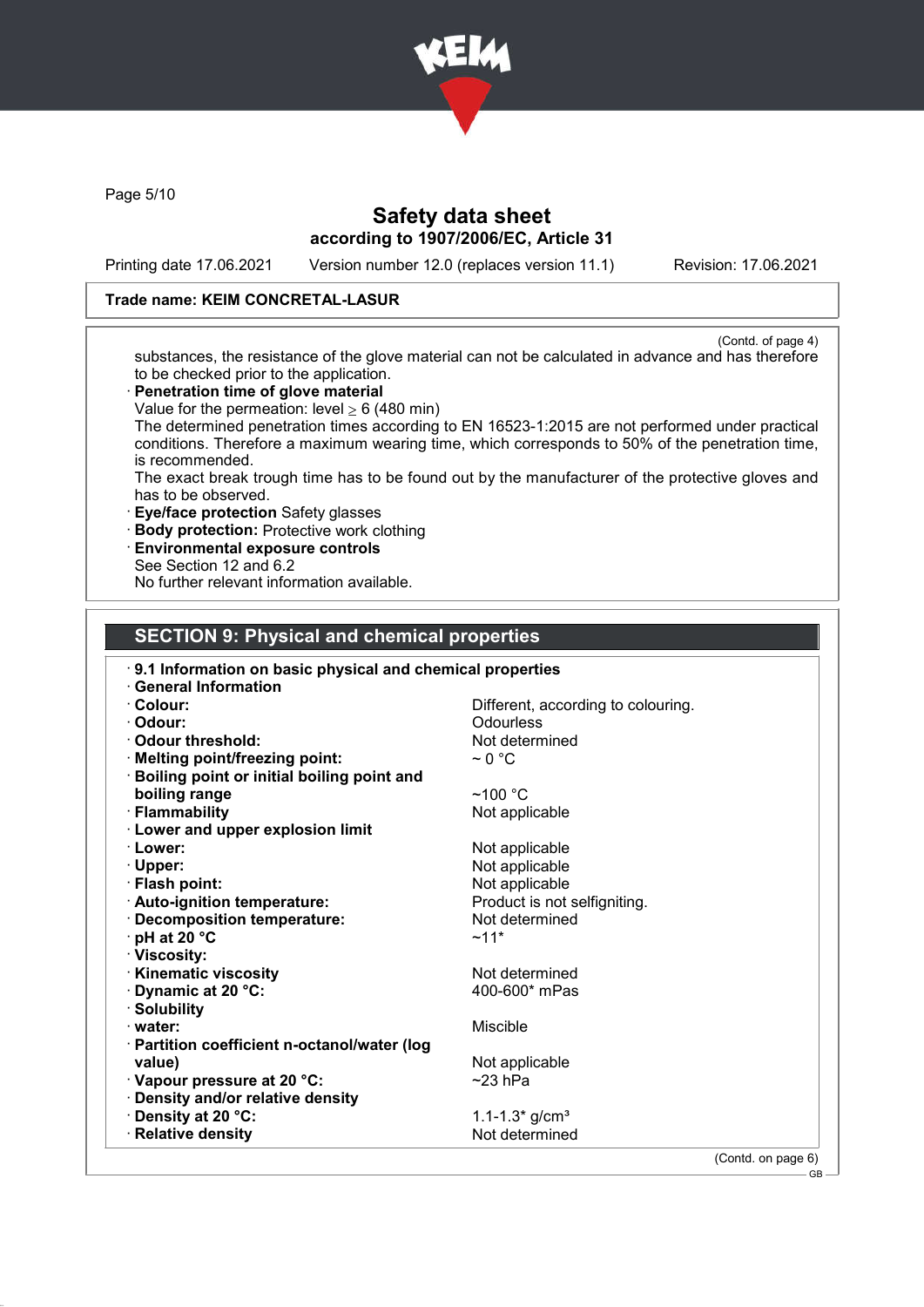

Page 5/10

# Safety data sheet according to 1907/2006/EC, Article 31

Printing date 17.06.2021 Version number 12.0 (replaces version 11.1) Revision: 17.06.2021

### Trade name: KEIM CONCRETAL-LASUR

(Contd. of page 4) substances, the resistance of the glove material can not be calculated in advance and has therefore to be checked prior to the application.

- · Penetration time of glove material
- Value for the permeation: level  $> 6$  (480 min)

The determined penetration times according to EN 16523-1:2015 are not performed under practical conditions. Therefore a maximum wearing time, which corresponds to 50% of the penetration time, is recommended.

The exact break trough time has to be found out by the manufacturer of the protective gloves and has to be observed.

- · Eye/face protection Safety glasses
- · Body protection: Protective work clothing
- · Environmental exposure controls
- See Section 12 and 6.2

No further relevant information available.

### SECTION 9: Physical and chemical properties

| 9.1 Information on basic physical and chemical properties<br><b>General Information</b> |                                    |
|-----------------------------------------------------------------------------------------|------------------------------------|
| $\cdot$ Colour:                                                                         | Different, according to colouring. |
| · Odour:                                                                                | Odourless                          |
| Odour threshold:                                                                        | Not determined                     |
|                                                                                         | $\sim$ 0 °C                        |
| · Melting point/freezing point:                                                         |                                    |
| <b>Boiling point or initial boiling point and</b>                                       |                                    |
| boiling range                                                                           | $~100~^{\circ}$ C                  |
| · Flammability                                                                          | Not applicable                     |
| <b>Lower and upper explosion limit</b>                                                  |                                    |
| · Lower:                                                                                | Not applicable                     |
| $\cdot$ Upper:                                                                          | Not applicable                     |
| · Flash point:                                                                          | Not applicable                     |
| · Auto-ignition temperature:                                                            | Product is not selfigniting.       |
| · Decomposition temperature:                                                            | Not determined                     |
| $\cdot$ pH at 20 $\degree$ C                                                            | $~11*$                             |
| · Viscosity:                                                                            |                                    |
| <b>Kinematic viscosity</b>                                                              | Not determined                     |
| Dynamic at 20 °C:                                                                       | 400-600* mPas                      |
| · Solubility                                                                            |                                    |
| $\cdot$ water:                                                                          | Miscible                           |
| · Partition coefficient n-octanol/water (log                                            |                                    |
| value)                                                                                  | Not applicable                     |
| · Vapour pressure at 20 °C:                                                             | $~23$ hPa                          |
| · Density and/or relative density                                                       |                                    |
| · Density at 20 °C:                                                                     | 1.1-1.3* $g/cm3$                   |
| · Relative density                                                                      | Not determined                     |
|                                                                                         |                                    |
|                                                                                         | (Contd. on page 6)                 |

C<sub>B</sub>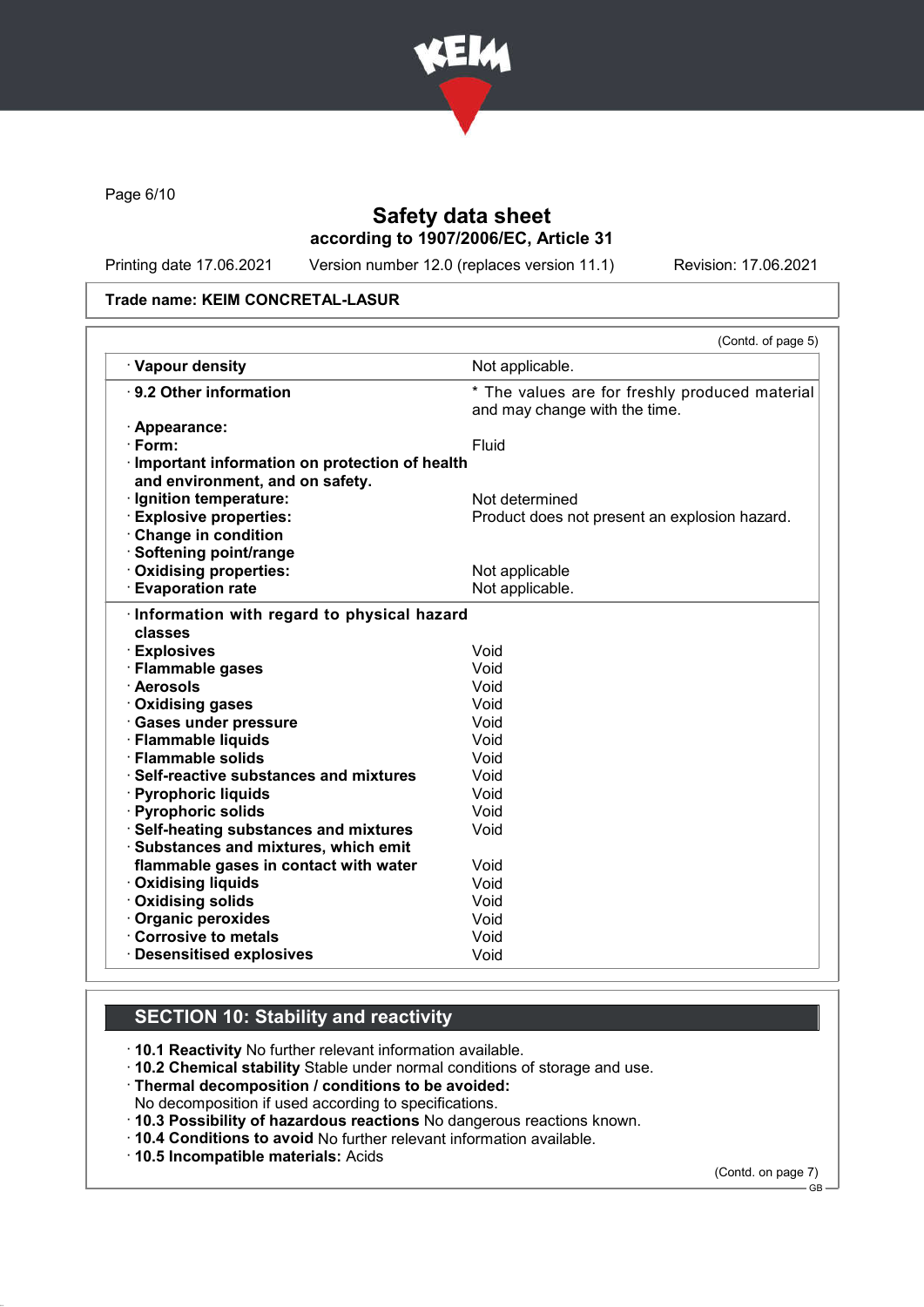

Page 6/10

# Safety data sheet according to 1907/2006/EC, Article 31

Printing date 17.06.2021 Version number 12.0 (replaces version 11.1) Revision: 17.06.2021

#### Trade name: KEIM CONCRETAL-LASUR

|                                                                                    | (Contd. of page 5)                                                              |
|------------------------------------------------------------------------------------|---------------------------------------------------------------------------------|
| · Vapour density                                                                   | Not applicable.                                                                 |
| ⋅ 9.2 Other information                                                            | * The values are for freshly produced material<br>and may change with the time. |
| · Appearance:                                                                      |                                                                                 |
| · Form:                                                                            | Fluid                                                                           |
| · Important information on protection of health<br>and environment, and on safety. |                                                                                 |
| · Ignition temperature:                                                            | Not determined                                                                  |
| <b>Explosive properties:</b>                                                       | Product does not present an explosion hazard.                                   |
| <b>Change in condition</b>                                                         |                                                                                 |
| · Softening point/range                                                            |                                                                                 |
| Oxidising properties:                                                              | Not applicable                                                                  |
| <b>Evaporation rate</b>                                                            | Not applicable.                                                                 |
| · Flammable gases<br>· Aerosols                                                    | Void<br>Void                                                                    |
|                                                                                    |                                                                                 |
| · Oxidising gases                                                                  | Void                                                                            |
| · Gases under pressure                                                             | Void                                                                            |
| · Flammable liquids                                                                | Void                                                                            |
| · Flammable solids                                                                 | Void                                                                            |
| · Self-reactive substances and mixtures                                            | Void                                                                            |
| · Pyrophoric liquids                                                               | Void                                                                            |
| · Pyrophoric solids                                                                | Void                                                                            |
| · Self-heating substances and mixtures                                             | Void                                                                            |
| · Substances and mixtures, which emit                                              |                                                                                 |
| flammable gases in contact with water                                              | Void                                                                            |
| <b>⋅ Oxidising liquids</b>                                                         | Void                                                                            |
| · Oxidising solids                                                                 | Void                                                                            |
| · Organic peroxides                                                                | Void                                                                            |
| Corrosive to metals                                                                | Void                                                                            |
| <b>Desensitised explosives</b>                                                     | Void                                                                            |

# SECTION 10: Stability and reactivity

· 10.1 Reactivity No further relevant information available.

- · 10.2 Chemical stability Stable under normal conditions of storage and use.
- · Thermal decomposition / conditions to be avoided:
- No decomposition if used according to specifications.
- · 10.3 Possibility of hazardous reactions No dangerous reactions known.
- · 10.4 Conditions to avoid No further relevant information available.
- · 10.5 Incompatible materials: Acids

(Contd. on page 7)

 $-$  GB  $-$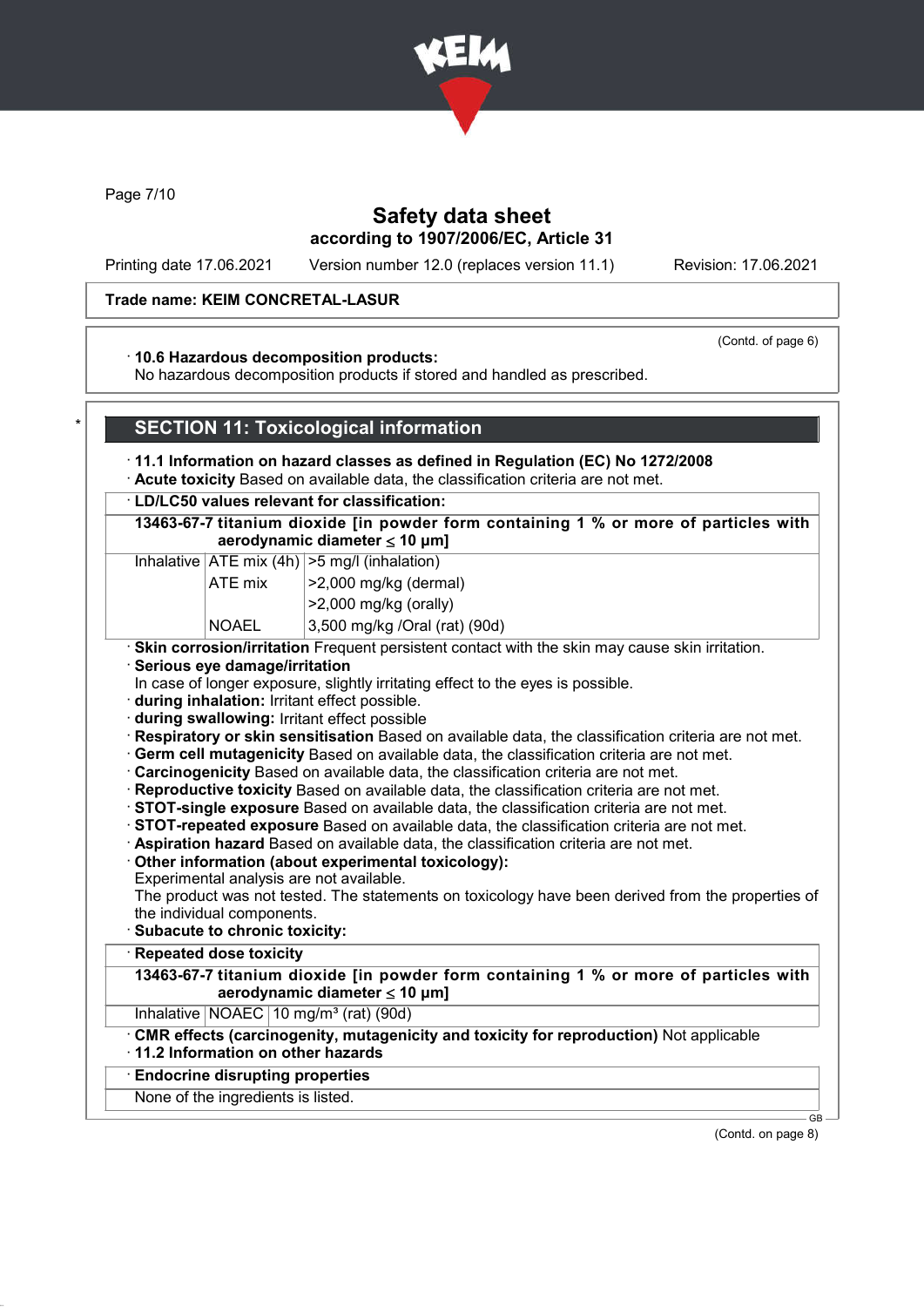

Page 7/10

### Safety data sheet according to 1907/2006/EC, Article 31

Printing date 17.06.2021 Version number 12.0 (replaces version 11.1) Revision: 17.06.2021

#### Trade name: KEIM CONCRETAL-LASUR

#### (Contd. of page 6)

### · 10.6 Hazardous decomposition products:

No hazardous decomposition products if stored and handled as prescribed.

### **SECTION 11: Toxicological information**

### · 11.1 Information on hazard classes as defined in Regulation (EC) No 1272/2008

· Acute toxicity Based on available data, the classification criteria are not met.

#### · LD/LC50 values relevant for classification:

13463-67-7 titanium dioxide [in powder form containing 1 % or more of particles with aerodynamic diameter  $\leq 10 \mu m$ ]

#### Inhalative  $|ATE \text{ mix } (4h) | > 5 \text{ mg/l } (inhalation)$

| $ATE$ mix    | $ >2,000$ mg/kg (dermal)  |
|--------------|---------------------------|
|              | $ >$ 2,000 mg/kg (orally) |
| $\mathbf{N}$ | 0.500110101<br>$\sqrt{2}$ |

NOAEL 3,500 mg/kg /Oral (rat) (90d)

### · Skin corrosion/irritation Frequent persistent contact with the skin may cause skin irritation.

- · Serious eye damage/irritation
- In case of longer exposure, slightly irritating effect to the eyes is possible.
- · during inhalation: Irritant effect possible.
- · during swallowing: Irritant effect possible
- · Respiratory or skin sensitisation Based on available data, the classification criteria are not met.
- · Germ cell mutagenicity Based on available data, the classification criteria are not met.
- · Carcinogenicity Based on available data, the classification criteria are not met.
- · Reproductive toxicity Based on available data, the classification criteria are not met.
- · STOT-single exposure Based on available data, the classification criteria are not met.
- · STOT-repeated exposure Based on available data, the classification criteria are not met.
- · Aspiration hazard Based on available data, the classification criteria are not met.
- · Other information (about experimental toxicology):
- Experimental analysis are not available.

The product was not tested. The statements on toxicology have been derived from the properties of the individual components.

· Subacute to chronic toxicity:

# **Repeated dose toxicity**

13463-67-7 titanium dioxide [in powder form containing 1 % or more of particles with aerodynamic diameter ≤ 10 μm]

Inhalative  $NOAEC$  10 mg/m<sup>3</sup> (rat) (90d)

· CMR effects (carcinogenity, mutagenicity and toxicity for reproduction) Not applicable

# · 11.2 Information on other hazards

# · Endocrine disrupting properties

None of the ingredients is listed.

(Contd. on page 8)

 $\sim$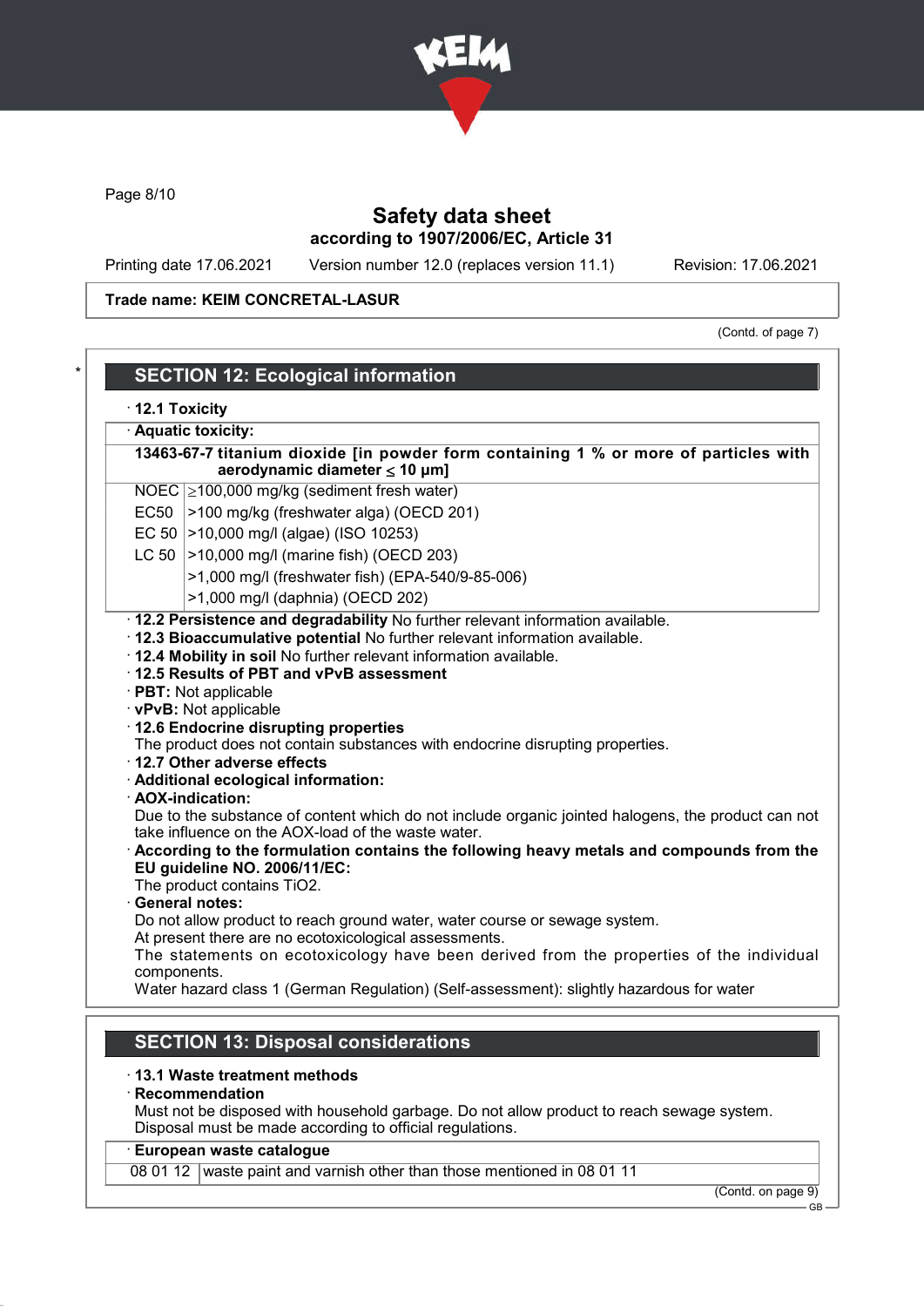

Page 8/10

# Safety data sheet according to 1907/2006/EC, Article 31

Printing date 17.06.2021 Version number 12.0 (replaces version 11.1) Revision: 17.06.2021

### Trade name: KEIM CONCRETAL-LASUR

(Contd. of page 7)

|             | · Aquatic toxicity:                                                                                                                                                                                                                                                                                                                                                                                                                                                                               |
|-------------|---------------------------------------------------------------------------------------------------------------------------------------------------------------------------------------------------------------------------------------------------------------------------------------------------------------------------------------------------------------------------------------------------------------------------------------------------------------------------------------------------|
|             | 13463-67-7 titanium dioxide [in powder form containing 1 % or more of particles with<br>aerodynamic diameter $\leq$ 10 µm]                                                                                                                                                                                                                                                                                                                                                                        |
|             | NOEC 2100,000 mg/kg (sediment fresh water)                                                                                                                                                                                                                                                                                                                                                                                                                                                        |
|             | EC50 >100 mg/kg (freshwater alga) (OECD 201)                                                                                                                                                                                                                                                                                                                                                                                                                                                      |
|             | EC 50   > 10,000 mg/l (algae) (ISO 10253)                                                                                                                                                                                                                                                                                                                                                                                                                                                         |
|             | LC 50 $ >10,000$ mg/l (marine fish) (OECD 203)                                                                                                                                                                                                                                                                                                                                                                                                                                                    |
|             | >1,000 mg/l (freshwater fish) (EPA-540/9-85-006)                                                                                                                                                                                                                                                                                                                                                                                                                                                  |
|             | >1,000 mg/l (daphnia) (OECD 202)                                                                                                                                                                                                                                                                                                                                                                                                                                                                  |
|             | . 12.4 Mobility in soil No further relevant information available.<br>12.5 Results of PBT and vPvB assessment<br>· PBT: Not applicable                                                                                                                                                                                                                                                                                                                                                            |
|             | · vPvB: Not applicable<br>12.6 Endocrine disrupting properties<br>The product does not contain substances with endocrine disrupting properties.<br>12.7 Other adverse effects<br>· Additional ecological information:<br>· AOX-indication:<br>Due to the substance of content which do not include organic jointed halogens, the product can not<br>take influence on the AOX-load of the waste water.<br>According to the formulation contains the following heavy metals and compounds from the |
|             | EU guideline NO. 2006/11/EC:<br>The product contains TiO2.                                                                                                                                                                                                                                                                                                                                                                                                                                        |
|             | · General notes:                                                                                                                                                                                                                                                                                                                                                                                                                                                                                  |
|             | Do not allow product to reach ground water, water course or sewage system.<br>At present there are no ecotoxicological assessments.                                                                                                                                                                                                                                                                                                                                                               |
| components. | The statements on ecotoxicology have been derived from the properties of the individual                                                                                                                                                                                                                                                                                                                                                                                                           |

Must not be disposed with household garbage. Do not allow product to reach sewage system. Disposal must be made according to official regulations.

### · European waste catalogue

08 01 12 waste paint and varnish other than those mentioned in 08 01 11

(Contd. on page 9)

GB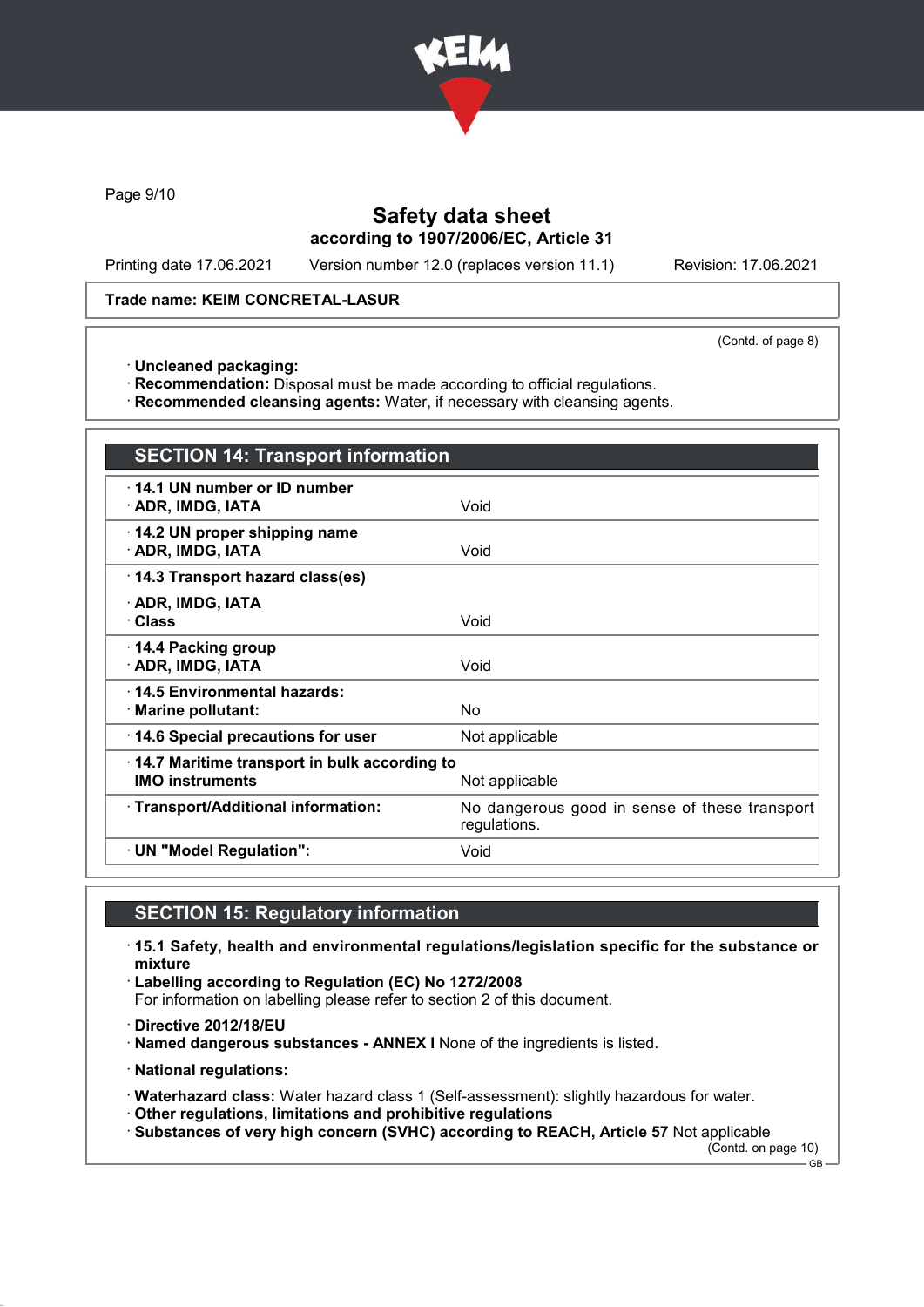

Page 9/10

# Safety data sheet according to 1907/2006/EC, Article 31

Printing date 17.06.2021 Version number 12.0 (replaces version 11.1) Revision: 17.06.2021

### Trade name: KEIM CONCRETAL-LASUR

(Contd. of page 8)

· Uncleaned packaging:

· Recommendation: Disposal must be made according to official regulations.

· Recommended cleansing agents: Water, if necessary with cleansing agents.

| <b>SECTION 14: Transport information</b>                                                 |                                                               |
|------------------------------------------------------------------------------------------|---------------------------------------------------------------|
| 14.1 UN number or ID number<br>· ADR, IMDG, IATA                                         | Void                                                          |
| 14.2 UN proper shipping name<br>· ADR, IMDG, IATA                                        | Void                                                          |
| 14.3 Transport hazard class(es)                                                          |                                                               |
| · ADR, IMDG, IATA<br>· Class                                                             | Void                                                          |
| ⋅ 14.4 Packing group<br>· ADR, IMDG, IATA                                                | Void                                                          |
| ⋅14.5 Environmental hazards:<br>· Marine pollutant:                                      | No                                                            |
| 14.6 Special precautions for user                                                        | Not applicable                                                |
| 14.7 Maritime transport in bulk according to<br><b>IMO instruments</b><br>Not applicable |                                                               |
| · Transport/Additional information:                                                      | No dangerous good in sense of these transport<br>regulations. |
| · UN "Model Regulation":                                                                 | Void                                                          |

# SECTION 15: Regulatory information

· 15.1 Safety, health and environmental regulations/legislation specific for the substance or mixture

· Labelling according to Regulation (EC) No 1272/2008 For information on labelling please refer to section 2 of this document.

- · Directive 2012/18/EU
- · Named dangerous substances ANNEX I None of the ingredients is listed.
- · National regulations:

· Waterhazard class: Water hazard class 1 (Self-assessment): slightly hazardous for water.

- · Other regulations, limitations and prohibitive regulations
- · Substances of very high concern (SVHC) according to REACH, Article 57 Not applicable

(Contd. on page 10) GB